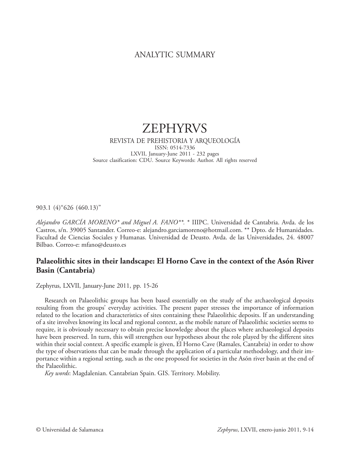# ANALYTIC SUMMARY

# ZEPHYRVS

#### REVISTA DE PREHISTORIA Y ARQUEOLOGÍA ISSN: 0514-7336 LXVII, January-June 2011 - 232 pages Source clasification: CDU. Source Keywords: Author. All rights reserved

903.1 (4)"626 (460.13)"

*Alejandro GARCÍA MORENO\* and Miguel A. FANO\*\*.* \* IIIPC. Universidad de Cantabria. Avda. de los Castros, s/n. 39005 Santander. Correo-e: alejandro.garciamoreno@hotmail.com. \*\* Dpto. de Humanidades. Facultad de Ciencias Sociales y Humanas. Universidad de Deusto. Avda. de las Universidades, 24. 48007 Bilbao. Correo-e: mfano@deusto.es

# **Palaeolithic sites in their landscape: El Horno Cave in the context of the Asón River Basin (Cantabria)**

Zephyrus, LXVII, January-June 2011, pp. 15-26

Research on Palaeolithic groups has been based essentially on the study of the archaeological deposits resulting from the groups' everyday activities. The present paper stresses the importance of information related to the location and characteristics of sites containing these Palaeolithic deposits. If an understanding of a site involves knowing its local and regional context, as the mobile nature of Palaeolithic societies seems to require, it is obviously necessary to obtain precise knowledge about the places where archaeological deposits have been preserved. In turn, this will strengthen our hypotheses about the role played by the different sites within their social context. A specific example is given, El Horno Cave (Ramales, Cantabria) in order to show the type of observations that can be made through the application of a particular methodology, and their importance within a regional setting, such as the one proposed for societies in the Asón river basin at the end of the Palaeolithic.

*Key words*: Magdalenian. Cantabrian Spain. GIS. Territory. Mobility.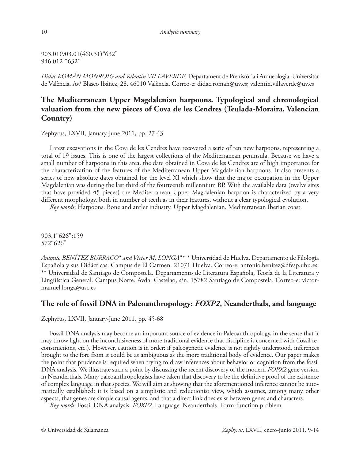903.01(903.01(460.31)"632" 946.012 "632"

*Didac ROMÁN MONROIG and Valentín VILLAVERDE.* Departament de Prehistòria i Arqueologia. Universitat de València. Av/ Blasco Ibáñez, 28. 46010 València. Correo-e: didac.roman@uv.es; valentin.villaverde@uv.es

# **The Mediterranean Upper Magdalenian harpoons. Typological and chronological valuation from the new pieces of Cova de les Cendres (Teulada-Moraira, Valencian Country)**

Zephyrus, LXVII, January-June 2011, pp. 27-43

Latest excavations in the Cova de les Cendres have recovered a serie of ten new harpoons, representing a total of 19 issues. This is one of the largest collections of the Mediterranean peninsula. Because we have a small number of harpoons in this area, the date obtained in Cova de les Cendres are of high importance for the characterization of the features of the Mediterranean Upper Magdalenian harpoons. It also presents a series of new absolute dates obtained for the level XI which show that the major occupation in the Upper Magdalenian was during the last third of the fourteenth millennium BP. With the available data (twelve sites that have provided 45 pieces) the Mediterranean Upper Magdalenian harpoon is characterized by a very different morphology, both in number of teeth as in their features, without a clear typological evolution.

*Key words*: Harpoons. Bone and antler industry. Upper Magdalenian. Mediterranean Iberian coast.

903.1"626":159 572"626"

*Antonio BENÍTEZ BURRACO\* and Víctor M. LONGA\*\*.* \* Universidad de Huelva. Departamento de Filología Española y sus Didácticas. Campus de El Carmen. 21071 Huelva. Correo-e: antonio.benitez@dfesp.uhu.es. \*\* Universidad de Santiago de Compostela. Departamento de Literatura Española, Teoría de la Literatura y Lingüística General. Campus Norte. Avda. Castelao, s/n. 15782 Santiago de Compostela. Correo-e: victormanuel.longa@usc.es

## **The role of fossil DNA in Paleoanthropology:** *FOXP2***, Neanderthals, and language**

Zephyrus, LXVII, January-June 2011, pp. 45-68

Fossil DNA analysis may become an important source of evidence in Paleoanthropology, in the sense that it may throw light on the inconclusiveness of more traditional evidence that discipline is concerned with (fossil reconstructions, etc.). However, caution is in order: if paleogenetic evidence is not rightly understood, inferences brought to the fore from it could be as ambiguous as the more traditional body of evidence. Our paper makes the point that prudence is required when trying to draw inferences about behavior or cognition from the fossil DNA analysis. We illustrate such a point by discussing the recent discovery of the modern *FOPX2* gene version in Neanderthals. Many paleoanthropologists have taken that discovery to be the definitive proof of the existence of complex language in that species. We will aim at showing that the aforementioned inference cannot be automatically established: it is based on a simplistic and reductionist view, which assumes, among many other aspects, that genes are simple causal agents, and that a direct link does exist between genes and characters.

*Key words*: Fossil DNA analysis. *FOXP2*. Language. Neanderthals. Form-function problem.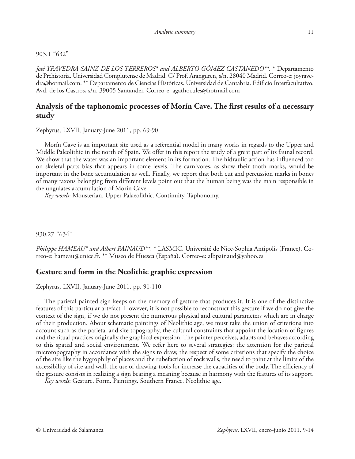#### 903.1 "632"

*José YRAVEDRA SAINZ DE LOS TERREROS\* and ALBERTO GÓMEZ CASTANEDO\*\*.* \* Departamento de Prehistoria. Universidad Complutense de Madrid. C/ Prof. Aranguren, s/n. 28040 Madrid. Correo-e: joyravedra@hotmail.com. \*\* Departamento de Ciencias Históricas. Universidad de Cantabria. Edificio Interfacultativo. Avd. de los Castros, s/n. 39005 Santander. Correo-e: agathocules@hotmail.com

# **Analysis of the taphonomic processes of Morín Cave. The first results of a necessary study**

Zephyrus, LXVII, January-June 2011, pp. 69-90

Morín Cave is an important site used as a referential model in many works in regards to the Upper and Middle Paleolithic in the north of Spain. We offer in this report the study of a great part of its faunal record. We show that the water was an important element in its formation. The hidraulic action has influenced too on skeletal parts bias that appears in some levels. The carnivores, as show their tooth marks, would be important in the bone accumulation as well. Finally, we report that both cut and percussion marks in bones of many taxons belonging from different levels point out that the human being was the main responsible in the ungulates accumulation of Morín Cave.

*Key words*: Mousterian. Upper Palaeolithic. Continuity. Taphonomy.

930.27 "634"

*Philippe HAMEAU\* and Albert PAINAUD\*\*.* \* LASMIC. Université de Nice-Sophia Antipolis (France). Correo-e: hameau@unice.fr. \*\* Museo de Huesca (España). Correo-e: albpainaud@yahoo.es

## **Gesture and form in the Neolithic graphic expression**

Zephyrus, LXVII, January-June 2011, pp. 91-110

The parietal painted sign keeps on the memory of gesture that produces it. It is one of the distinctive features of this particular artefact. However, it is not possible to reconstruct this gesture if we do not give the context of the sign, if we do not present the numerous physical and cultural parameters which are in charge of their production. About schematic paintings of Neolithic age, we must take the union of criterions into account such as the parietal and site topography, the cultural constraints that appoint the location of figures and the ritual practices originally the graphical expression. The painter perceives, adapts and behaves according to this spatial and social environment. We refer here to several strategies: the attention for the parietal microtopography in accordance with the signs to draw, the respect of some criterions that specify the choice of the site like the hygrophily of places and the rubefaction of rock walls, the need to paint at the limits of the accessibility of site and wall, the use of drawing-tools for increase the capacities of the body. The efficiency of the gesture consists in realizing a sign bearing a meaning because in harmony with the features of its support.

*Key words*: Gesture. Form. Paintings. Southern France. Neolithic age.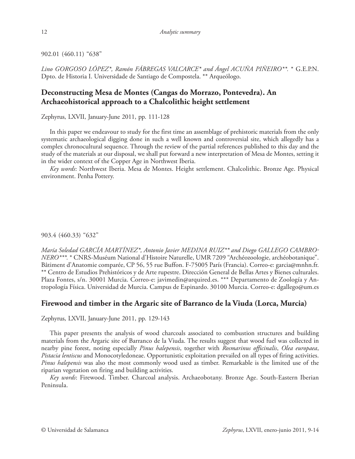902.01 (460.11) "638"

*Lino GORGOSO LÓPEZ\*, Ramón FÁBREGAS VALCARCE\* and Ángel ACUÑA PIÑEIRO\*\*.* \* G.E.P.N. Dpto. de Historia I. Universidade de Santiago de Compostela. \*\* Arqueólogo.

# **Deconstructing Mesa de Montes (Cangas do Morrazo, Pontevedra). An Archaeohistorical approach to a Chalcolithic height settlement**

Zephyrus, LXVII, January-June 2011, pp. 111-128

In this paper we endeavour to study for the first time an assemblage of prehistoric materials from the only systematic archaeological digging done in such a well known and controversial site, which allegedly has a complex chronocultural sequence. Through the review of the partial references published to this day and the study of the materials at our disposal, we shall put forward a new interpretation of Mesa de Montes, setting it in the wider context of the Copper Age in Northwest Iberia.

*Key words*: Northwest Iberia. Mesa de Montes. Height settlement. Chalcolithic. Bronze Age. Physical environment. Penha Pottery.

903.4 (460.33) "632"

*María Soledad GARCÍA MARTÍNEZ\*, Antonio Javier MEDINA RUIZ\*\* and Diego GALLEGO CAMBRO-NERO\*\*\*.* \* CNRS-Muséum National d'Histoire Naturelle, UMR 7209 "Archéozoologie, archéobotanique". Bâtiment d'Anatomie comparée, CP 56, 55 rue Buffon. F-75005 París (Francia). Correo-e: garcia@mnhn.fr. \*\* Centro de Estudios Prehistóricos y de Arte rupestre. Dirección General de Bellas Artes y Bienes culturales. Plaza Fontes, s/n. 30001 Murcia. Correo-e: javimedin@arquired.es. \*\*\* Departamento de Zoología y Antropología Física. Universidad de Murcia. Campus de Espinardo. 30100 Murcia. Correo-e: dgallego@um.es

# **Firewood and timber in the Argaric site of Barranco de la Viuda (Lorca, Murcia)**

Zephyrus, LXVII, January-June 2011, pp. 129-143

This paper presents the analysis of wood charcoals associated to combustion structures and building materials from the Argaric site of Barranco de la Viuda. The results suggest that wood fuel was collected in nearby pine forest, noting especially *Pinus halepensis*, together with *Rosmarinus officinalis*, *Olea europaea*, *Pistacia lentiscus* and Monocotyledoneae. Opportunistic exploitation prevailed on all types of firing activities. *Pinus halepensis* was also the most commonly wood used as timber. Remarkable is the limited use of the riparian vegetation on firing and building activities.

*Key words*: Firewood. Timber. Charcoal analysis. Archaeobotany. Bronze Age. South-Eastern Iberian Peninsula.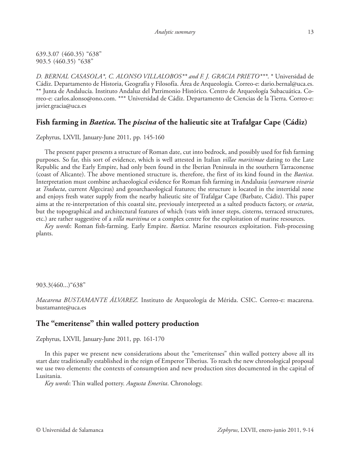639.3.07 (460.35) "638" 903.5 (460.35) "638"

*D. BERNAL CASASOLA\*, C. ALONSO VILLALOBOS\*\* and F. J. GRACIA PRIETO\*\*\**. \* Universidad de Cádiz. Departamento de Historia, Geografía y Filosofía. Área de Arqueología. Correo-e: dario.bernal@uca.es. \*\* Junta de Andalucía. Instituto Andaluz del Patrimonio Histórico. Centro de Arqueología Subacuática. Correo-e: carlos.alonso@ono.com. \*\*\* Universidad de Cádiz. Departamento de Ciencias de la Tierra. Correo-e: javier.gracia@uca.es

# **Fish farming in** *Baetica.* **The** *piscina* **of the halieutic site at Trafalgar Cape (Cádiz)**

Zephyrus, LXVII, January-June 2011, pp. 145-160

The present paper presents a structure of Roman date, cut into bedrock, and possibly used for fish farming purposes. So far, this sort of evidence, which is well attested in Italian *villae maritimae* dating to the Late Republic and the Early Empire, had only been found in the Iberian Peninsula in the southern Tarraconense (coast of Alicante). The above mentioned structure is, therefore, the first of its kind found in the *Baetica*. Interpretation must combine archaeological evidence for Roman fish farming in Andalusia (*ostrearum vivaria* at *Traducta*, current Algeciras) and geoarchaeological features; the structure is located in the intertidal zone and enjoys fresh water supply from the nearby halieutic site of Trafalgar Cape (Barbate, Cádiz). This paper aims at the re-interpretation of this coastal site, previously interpreted as a salted products factory, or *cetaria*, but the topographical and architectural features of which (vats with inner steps, cisterns, terraced structures, etc.) are rather suggestive of a *villa maritima* or a complex centre for the exploitation of marine resources.

*Key words*: Roman fish-farming. Early Empire. *Baetica*. Marine resources exploitation. Fish-processing plants.

903.3(460...)"638"

*Macarena BUSTAMANTE ÁLVAREZ.* Instituto de Arqueología de Mérida. CSIC. Correo-e: macarena. bustamante@uca.es

## **The "emeritense" thin walled pottery production**

Zephyrus, LXVII, January-June 2011, pp. 161-170

In this paper we present new considerations about the "emeritenses" thin walled pottery above all its start date traditionally established in the reign of Emperor Tiberius. To reach the new chronological proposal we use two elements: the contexts of consumption and new production sites documented in the capital of Lusitania.

*Key words*: Thin walled pottery. *Augusta Emerita*. Chronology.